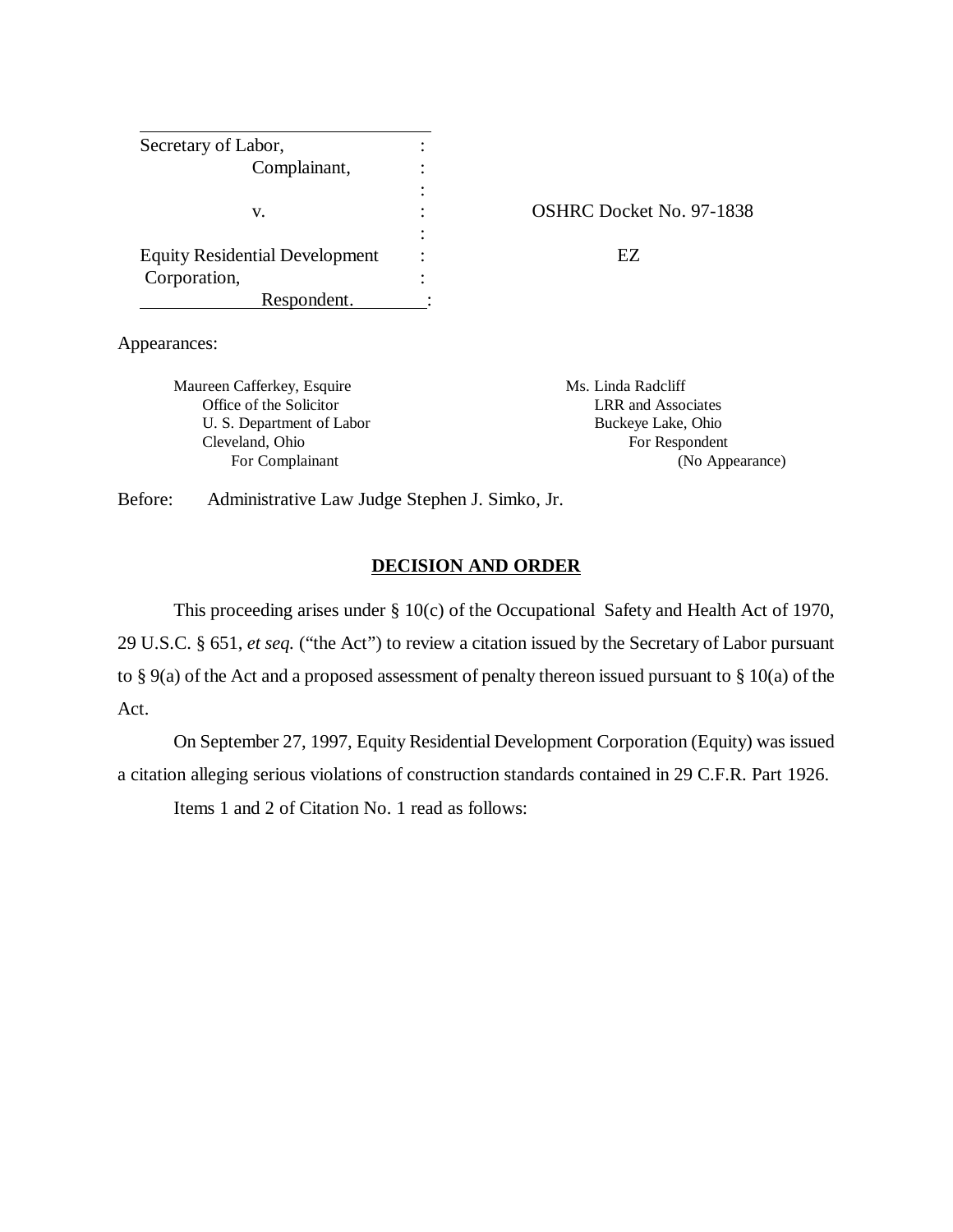| Secretary of Labor,                   |                   |
|---------------------------------------|-------------------|
| Complainant,                          |                   |
|                                       |                   |
| v.                                    | <b>OSHRC Dock</b> |
|                                       |                   |
| <b>Equity Residential Development</b> | FZ                |
| Corporation,                          |                   |
| Respondent.                           |                   |

OSHRC Docket No. 97-1838

Appearances:

Maureen Cafferkey, Esquire Ms. Linda Radcliff Office of the Solicitor LRR and Associates U. S. Department of Labor Buckeye Lake, Ohio Cleveland, Ohio For Respondent

For Complainant (No Appearance)

Before: Administrative Law Judge Stephen J. Simko, Jr.

#### **DECISION AND ORDER**

This proceeding arises under § 10(c) of the Occupational Safety and Health Act of 1970, 29 U.S.C. § 651, *et seq.* ("the Act") to review a citation issued by the Secretary of Labor pursuant to § 9(a) of the Act and a proposed assessment of penalty thereon issued pursuant to § 10(a) of the Act.

On September 27, 1997, Equity Residential Development Corporation (Equity) was issued a citation alleging serious violations of construction standards contained in 29 C.F.R. Part 1926.

Items 1 and 2 of Citation No. 1 read as follows: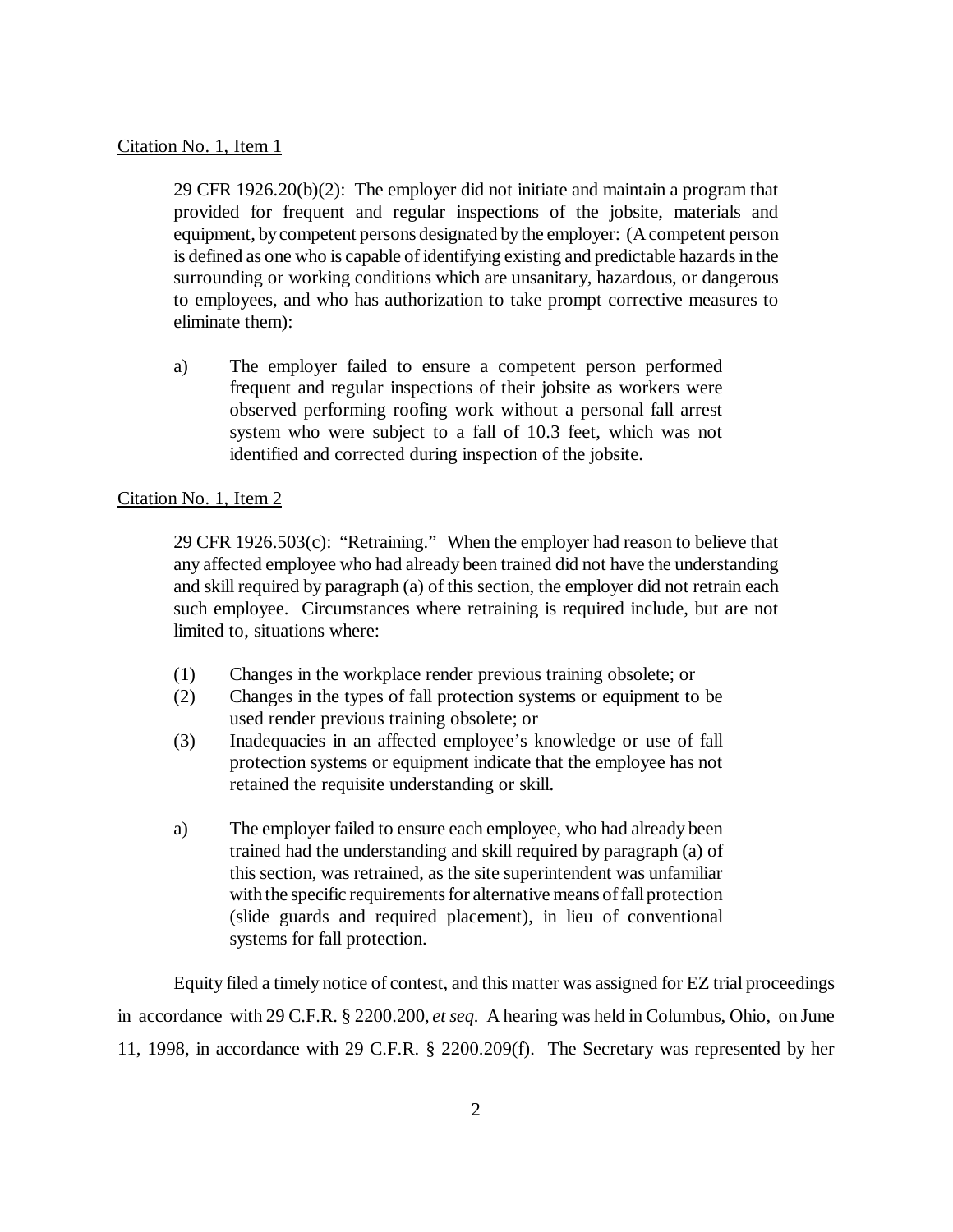### Citation No. 1, Item 1

29 CFR 1926.20(b)(2): The employer did not initiate and maintain a program that provided for frequent and regular inspections of the jobsite, materials and equipment, by competent persons designated by the employer: (A competent person is defined as one who is capable of identifying existing and predictable hazards in the surrounding or working conditions which are unsanitary, hazardous, or dangerous to employees, and who has authorization to take prompt corrective measures to eliminate them):

a) The employer failed to ensure a competent person performed frequent and regular inspections of their jobsite as workers were observed performing roofing work without a personal fall arrest system who were subject to a fall of 10.3 feet, which was not identified and corrected during inspection of the jobsite.

## Citation No. 1, Item 2

29 CFR 1926.503(c): "Retraining." When the employer had reason to believe that any affected employee who had already been trained did not have the understanding and skill required by paragraph (a) of this section, the employer did not retrain each such employee. Circumstances where retraining is required include, but are not limited to, situations where:

- (1) Changes in the workplace render previous training obsolete; or
- (2) Changes in the types of fall protection systems or equipment to be used render previous training obsolete; or
- (3) Inadequacies in an affected employee's knowledge or use of fall protection systems or equipment indicate that the employee has not retained the requisite understanding or skill.
- a) The employer failed to ensure each employee, who had already been trained had the understanding and skill required by paragraph (a) of this section, was retrained, as the site superintendent was unfamiliar with the specific requirements for alternative means of fall protection (slide guards and required placement), in lieu of conventional systems for fall protection.

Equity filed a timely notice of contest, and this matter was assigned for EZ trial proceedings in accordance with 29 C.F.R. § 2200.200, *et seq.* A hearing was held in Columbus, Ohio, on June 11, 1998, in accordance with 29 C.F.R. § 2200.209(f). The Secretary was represented by her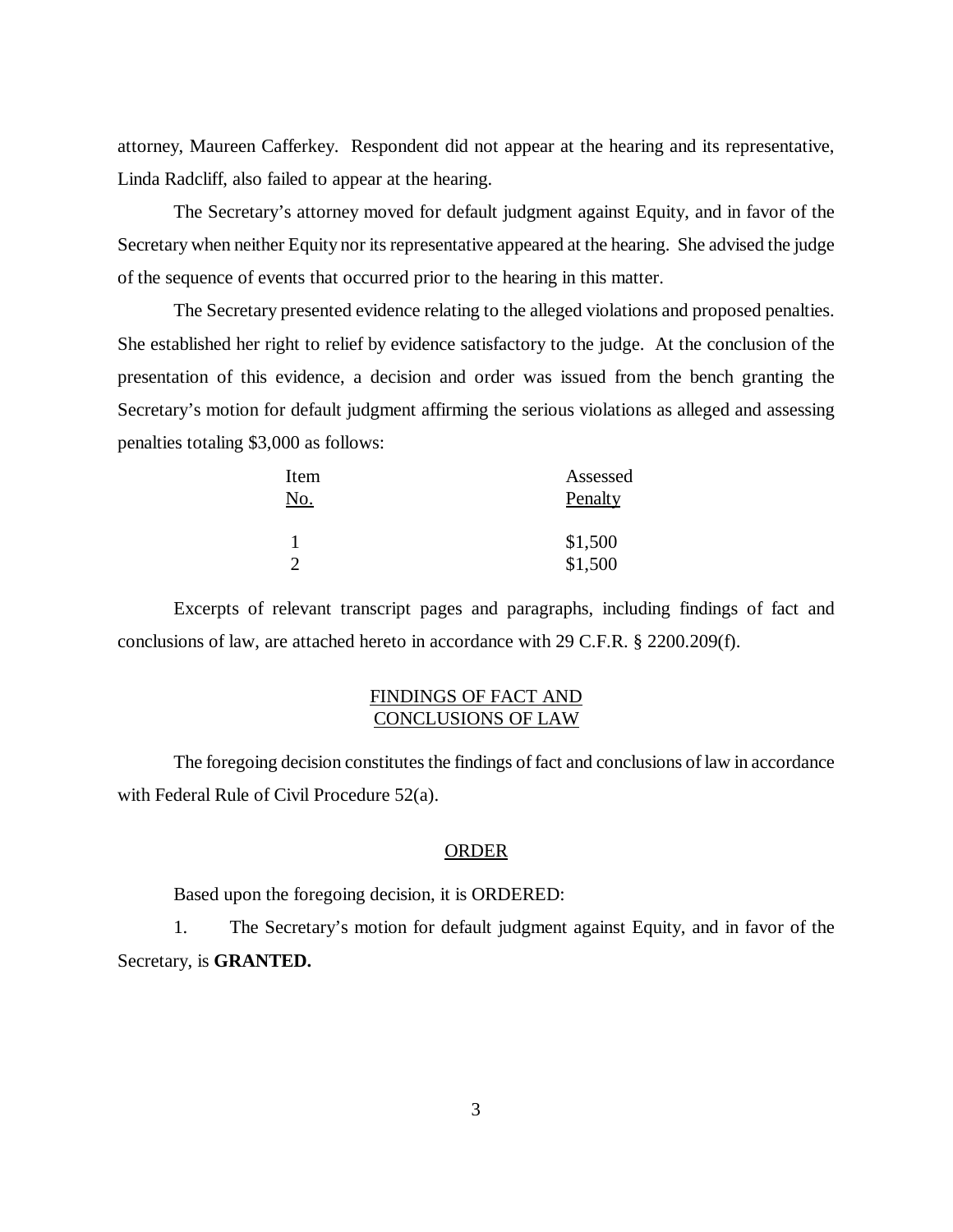attorney, Maureen Cafferkey. Respondent did not appear at the hearing and its representative, Linda Radcliff, also failed to appear at the hearing.

The Secretary's attorney moved for default judgment against Equity, and in favor of the Secretary when neither Equity nor its representative appeared at the hearing. She advised the judge of the sequence of events that occurred prior to the hearing in this matter.

The Secretary presented evidence relating to the alleged violations and proposed penalties. She established her right to relief by evidence satisfactory to the judge. At the conclusion of the presentation of this evidence, a decision and order was issued from the bench granting the Secretary's motion for default judgment affirming the serious violations as alleged and assessing penalties totaling \$3,000 as follows:

| Item          | Assessed           |
|---------------|--------------------|
| No.           | Penalty            |
| $\mathcal{D}$ | \$1,500<br>\$1,500 |

Excerpts of relevant transcript pages and paragraphs, including findings of fact and conclusions of law, are attached hereto in accordance with 29 C.F.R. § 2200.209(f).

# FINDINGS OF FACT AND CONCLUSIONS OF LAW

The foregoing decision constitutes the findings of fact and conclusions of law in accordance with Federal Rule of Civil Procedure 52(a).

#### ORDER

Based upon the foregoing decision, it is ORDERED:

1. The Secretary's motion for default judgment against Equity, and in favor of the Secretary, is **GRANTED.**